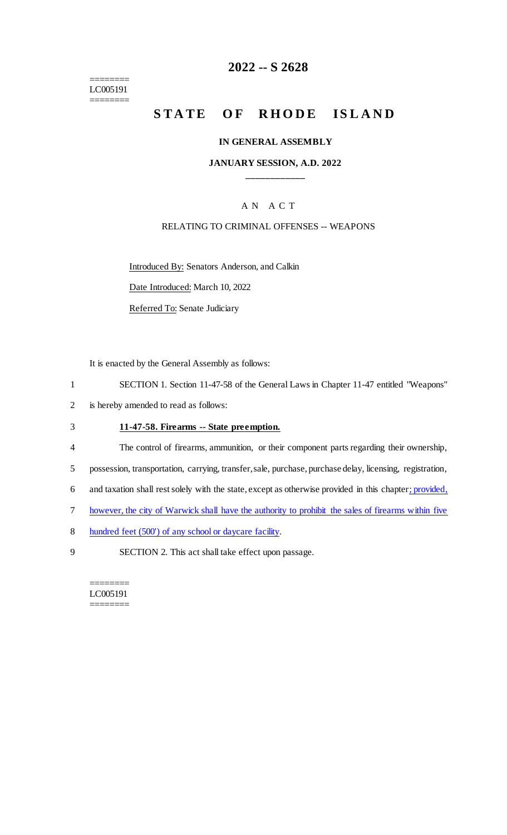======== LC005191 ========

# **2022 -- S 2628**

# **STATE OF RHODE ISLAND**

#### **IN GENERAL ASSEMBLY**

### **JANUARY SESSION, A.D. 2022 \_\_\_\_\_\_\_\_\_\_\_\_**

### A N A C T

#### RELATING TO CRIMINAL OFFENSES -- WEAPONS

Introduced By: Senators Anderson, and Calkin

Date Introduced: March 10, 2022

Referred To: Senate Judiciary

It is enacted by the General Assembly as follows:

- 1 SECTION 1. Section 11-47-58 of the General Laws in Chapter 11-47 entitled "Weapons"
- 2 is hereby amended to read as follows:

### 3 **11-47-58. Firearms -- State preemption.**

- 4 The control of firearms, ammunition, or their component parts regarding their ownership,
- 5 possession, transportation, carrying, transfer, sale, purchase, purchase delay, licensing, registration,
- 6 and taxation shall rest solely with the state, except as otherwise provided in this chapter; provided,
- 7 however, the city of Warwick shall have the authority to prohibit the sales of firearms within five
- 8 hundred feet (500') of any school or daycare facility.
- 9 SECTION 2. This act shall take effect upon passage.

======== LC005191 ========